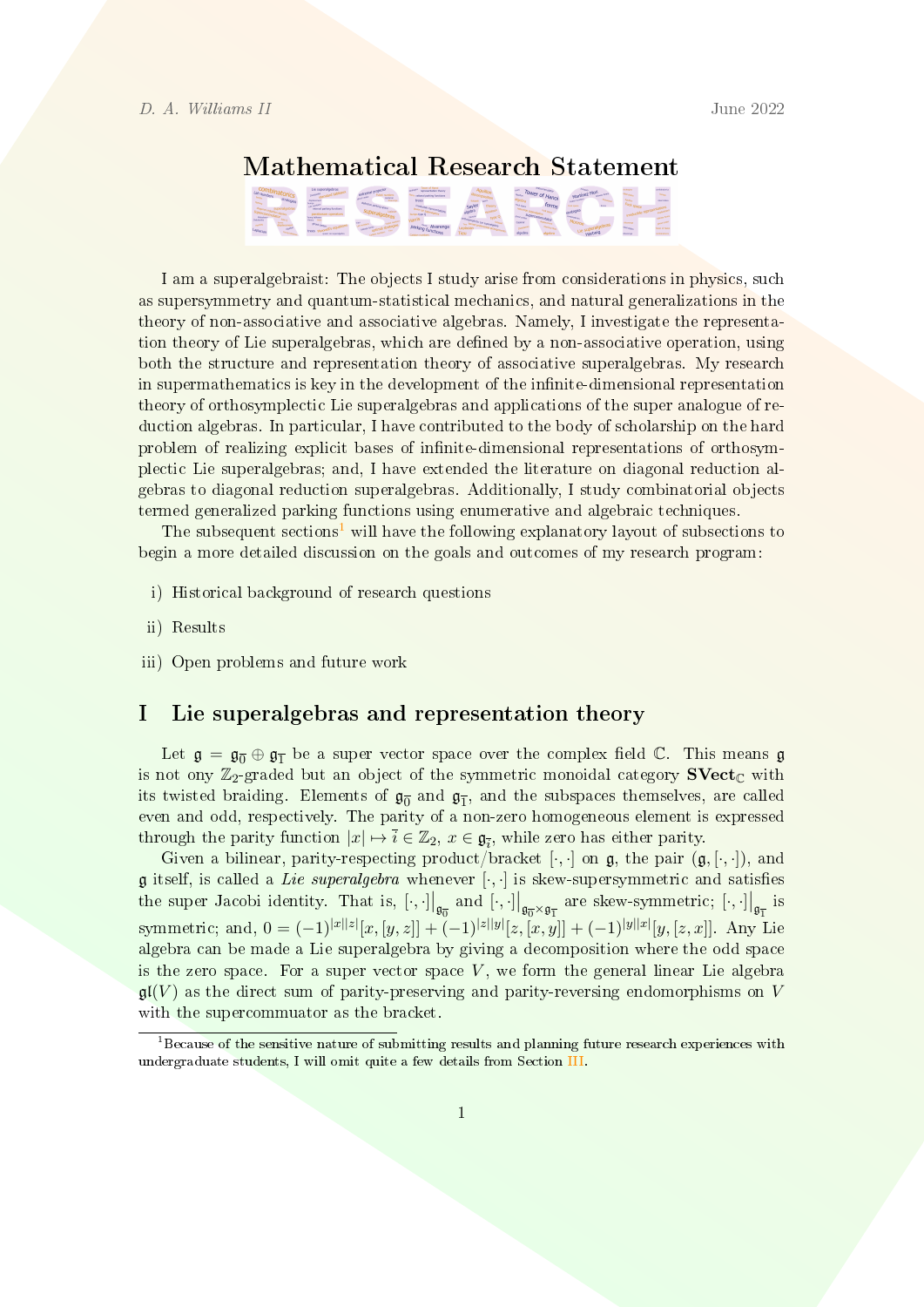# Mathematical Research Statement

I am a superalgebraist: The objects I study arise from considerations in physics, such as supersymmetry and quantum-statistical mechanics, and natural generalizations in the theory of non-associative and associative algebras. Namely, I investigate the representation theory of Lie superalgebras, which are defined by a non-associative operation, using both the structure and representation theory of associative superalgebras. My research in supermathematics is key in the development of the infinite-dimensional representation theory of orthosymplectic Lie superalgebras and applications of the super analogue of reduction algebras. In particular, I have contributed to the body of scholarship on the hard problem of realizing explicit bases of infinite-dimensional representations of orthosymplectic Lie superalgebras; and, I have extended the literature on diagonal reduction algebras to diagonal reduction superalgebras. Additionally, I study combinatorial objects termed generalized parking functions using enumerative and algebraic techniques.

The subsequent sections<sup>[1](#page-0-0)</sup> will have the following explanatory layout of subsections to begin a more detailed discussion on the goals and outcomes of my research program:

- i) Historical background of research questions
- ii) Results
- iii) Open problems and future work

# I Lie superalgebras and representation theory

Let  $\mathfrak{g} = \mathfrak{g}_{\overline{0}} \oplus \mathfrak{g}_{\overline{1}}$  be a super vector space over the complex field  $\mathbb{C}$ . This means  $\mathfrak{g}$ is not ony  $\mathbb{Z}_2$ -graded but an object of the symmetric monoidal category  $SVect_{\mathbb{C}}$  with its twisted braiding. Elements of  $\mathfrak{g}_{\overline{0}}$  and  $\mathfrak{g}_{\overline{1}}$ , and the subspaces themselves, are called even and odd, respectively. The parity of a non-zero homogeneous element is expressed through the parity function  $|x| \mapsto \overline{i} \in \mathbb{Z}_2$ ,  $x \in \mathfrak{g}_{\overline{i}}$ , while zero has either parity.

Given a bilinear, parity-respecting product/bracket  $[\cdot, \cdot]$  on  $\mathfrak{g}$ , the pair  $(\mathfrak{g}, [\cdot, \cdot])$ , and  $\mathfrak g$  itself, is called a *Lie superalgebra* whenever  $[\cdot, \cdot]$  is skew-supersymmetric and satisfies the super Jacobi identity. That is,  $\left[\cdot,\cdot\right] \big|_{\mathfrak{g}_{\overline{0}}}$  and  $\left[\cdot,\cdot\right] \big|_{\mathfrak{g}_{\overline{0}} \times \mathfrak{g}_{\overline{1}}}$  are skew-symmetric;  $\left[\cdot,\cdot\right] \big|_{\mathfrak{g}_{\overline{1}}}$  is symmetric; and,  $0 = (-1)^{|x||z|} [x, [y, z]] + (-1)^{|z||y|} [z, [x, y]] + (-1)^{|y||x|} [y, [z, x]]$ . Any Lie algebra can be made a Lie superalgebra by giving a decomposition where the odd space is the zero space. For a super vector space  $V$ , we form the general linear Lie algebra  $\mathfrak{gl}(V)$  as the direct sum of parity-preserving and parity-reversing endomorphisms on V with the supercommuator as the bracket.

<span id="page-0-0"></span> $1B$  Because of the sensitive nature of submitting results and planning future research experiences with undergraduate students, I will omit quite a few details from Section [III.](#page-6-0)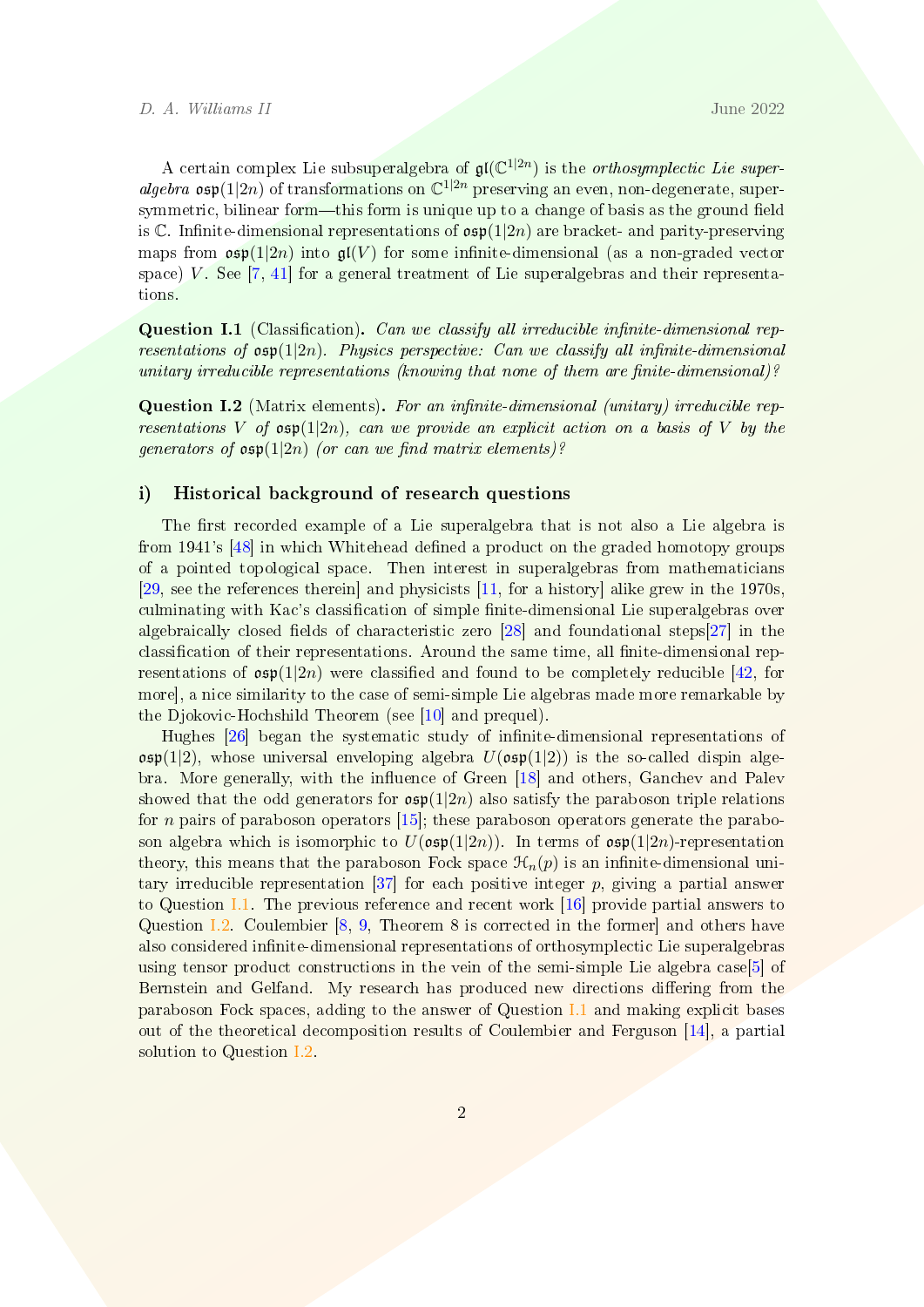A certain complex Lie subsuperalgebra of  $\mathfrak{gl}(\mathbb{C}^{1|2n})$  is the *orthosymplectic Lie super*algebra  $\mathfrak{osp}(1|2n)$  of transformations on  $\mathbb{C}^{1|2n}$  preserving an even, non-degenerate, supersymmetric, bilinear form  $-this$  form is unique up to a change of basis as the ground field is C. Infinite-dimensional representations of  $\cosh(1/2n)$  are bracket- and parity-preserving maps from  $\mathfrak{osp}(1|2n)$  into  $\mathfrak{gl}(V)$  for some infinite-dimensional (as a non-graded vector space) V. See  $[7, 41]$  $[7, 41]$  $[7, 41]$  for a general treatment of Lie superalgebras and their representations.

<span id="page-1-0"></span>Question I.1 (Classification). Can we classify all irreducible infinite-dimensional representations of  $osp(1|2n)$ . Physics perspective: Can we classify all infinite-dimensional unitary irreducible representations (knowing that none of them are finite-dimensional)?

<span id="page-1-1"></span>**Question I.2** (Matrix elements). For an infinite-dimensional (unitary) irreducible representations V of  $\mathfrak{osp}(1|2n)$ , can we provide an explicit action on a basis of V by the generators of  $osp(1|2n)$  (or can we find matrix elements)?

#### i) Historical background of research questions

The first recorded example of a Lie superalgebra that is not also a Lie algebra is from 1941's [\[48\]](#page-10-1) in which Whitehead defined a product on the graded homotopy groups of a pointed topological space. Then interest in superalgebras from mathematicians [\[29,](#page-9-0) see the references therein] and physicists [\[11,](#page-7-1) for a history] alike grew in the 1970s, culminating with Kac's classification of simple finite-dimensional Lie superalgebras over algebraically closed fields of characteristic zero  $[28]$  and foundational steps $[27]$  in the classification of their representations. Around the same time, all finite-dimensional representations of  $\mathfrak{osp}(1|2n)$  were classified and found to be completely reducible [\[42,](#page-10-2) for more], a nice similarity to the case of semi-simple Lie algebras made more remarkable by the Djokovic-Hochshild Theorem (see [\[10\]](#page-7-2) and prequel).

Hughes [\[26\]](#page-8-0) began the systematic study of infinite-dimensional representations of  $\mathfrak{osp}(1|2)$ , whose universal enveloping algebra  $U(\mathfrak{osp}(1|2))$  is the so-called dispin alge-bra. More generally, with the influence of Green [\[18\]](#page-8-1) and others, Ganchev and Palev showed that the odd generators for  $\mathfrak{osp}(1|2n)$  also satisfy the paraboson triple relations for *n* pairs of paraboson operators  $[15]$ ; these paraboson operators generate the paraboson algebra which is isomorphic to  $U(\mathfrak{osp}(1|2n))$ . In terms of  $\mathfrak{osp}(1|2n)$ -representation theory, this means that the paraboson Fock space  $\mathcal{H}_n(p)$  is an infinite-dimensional uni-tary irreducible representation [\[37\]](#page-9-3) for each positive integer  $p$ , giving a partial answer to Question [I.1.](#page-1-0) The previous reference and recent work [\[16\]](#page-8-3) provide partial answers to Question [I.2.](#page-1-1) Coulembier [\[8,](#page-7-3) [9,](#page-7-4) Theorem 8 is corrected in the former] and others have also considered infinite-dimensional representations of orthosymplectic Lie superalgebras using tensor product constructions in the vein of the semi-simple Lie algebra case[\[5\]](#page-7-5) of Bernstein and Gelfand. My research has produced new directions differing from the paraboson Fock spaces, adding to the answer of Question [I.1](#page-1-0) and making explicit bases out of the theoretical decomposition results of Coulembier and Ferguson [\[14\]](#page-8-4), a partial solution to Question [I.2.](#page-1-1)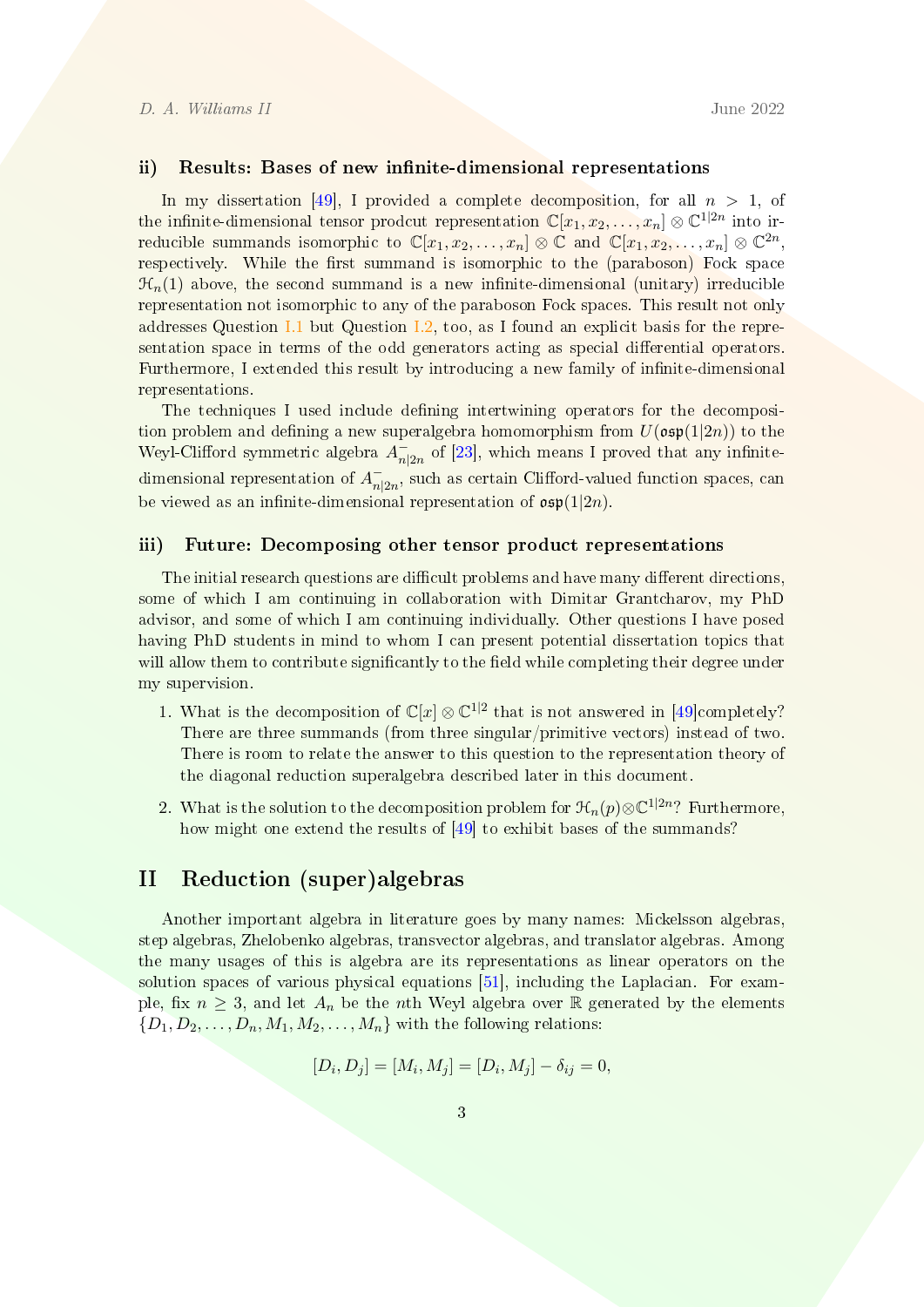#### ii) Results: Bases of new infinite-dimensional representations

In my dissertation [\[49\]](#page-10-3), I provided a complete decomposition, for all  $n > 1$ , of the infinite-dimensional tensor prodcut representation  $\mathbb{C}[x_1, x_2, \ldots, x_n] \otimes \mathbb{C}^{1|2n}$  into irreducible summands isomorphic to  $\mathbb{C}[x_1, x_2, \ldots, x_n] \otimes \mathbb{C}$  and  $\mathbb{C}[x_1, x_2, \ldots, x_n] \otimes \mathbb{C}^{2n}$ , respectively. While the first summand is isomorphic to the (paraboson) Fock space  $\mathcal{H}_n(1)$  above, the second summand is a new infinite-dimensional (unitary) irreducible representation not isomorphic to any of the paraboson Fock spaces. This result not only addresses Question [I.1](#page-1-0) but Question [I.2,](#page-1-1) too, as I found an explicit basis for the representation space in terms of the odd generators acting as special differential operators. Furthermore, I extended this result by introducing a new family of infinite-dimensional representations.

The techniques I used include defining intertwining operators for the decomposition problem and defining a new superalgebra homomorphism from  $U(\mathfrak{osp}(1|2n))$  to the Weyl-Clifford symmetric algebra  $A_n^$  $n_{2n}$  of [\[23\]](#page-8-5), which means I proved that any infinitedimensional representation of  $A_{n}^{-}$  $\bar{n}_{|2n}^-$ , such as certain Clifford-valued function spaces, can be viewed as an infinite-dimensional representation of  $\mathfrak{osp}(1|2n)$ .

#### iii) Future: Decomposing other tensor product representations

The initial research questions are difficult problems and have many different directions, some of which I am continuing in collaboration with Dimitar Grantcharov, my PhD advisor, and some of which I am continuing individually. Other questions I have posed having PhD students in mind to whom I can present potential dissertation topics that will allow them to contribute significantly to the field while completing their degree under my supervision.

- 1. What is the decomposition of  $\mathbb{C}[x] \otimes \mathbb{C}^{1|2}$  that is not answered in [\[49\]](#page-10-3)completely? There are three summands (from three singular/primitive vectors) instead of two. There is room to relate the answer to this question to the representation theory of the diagonal reduction superalgebra described later in this document.
- 2. What is the solution to the decomposition problem for  $\mathcal{H}_n(p) \otimes \mathbb{C}^{1|2n}$ ? Furthermore, how might one extend the results of [\[49\]](#page-10-3) to exhibit bases of the summands?

## II Reduction (super)algebras

Another important algebra in literature goes by many names: Mickelsson algebras, step algebras, Zhelobenko algebras, transvector algebras, and translator algebras. Among the many usages of this is algebra are its representations as linear operators on the solution spaces of various physical equations [\[51\]](#page-10-4), including the Laplacian. For example, fix  $n \geq 3$ , and let  $A_n$  be the nth Weyl algebra over R generated by the elements  $\{D_1, D_2, \ldots, D_n, M_1, M_2, \ldots, M_n\}$  with the following relations:

$$
[D_i, D_j] = [M_i, M_j] = [D_i, M_j] - \delta_{ij} = 0,
$$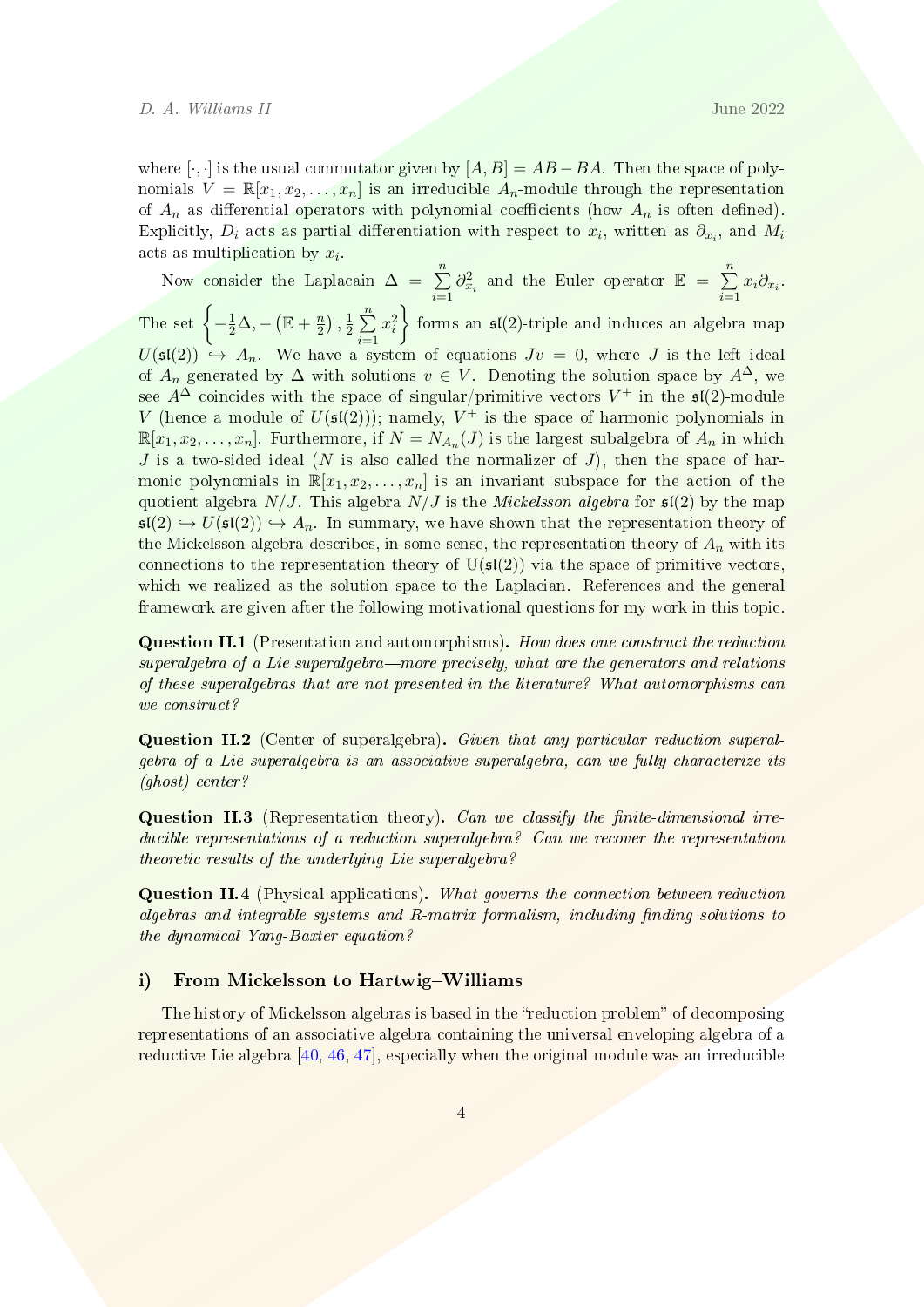where [ $\cdot$ , ·] is the usual commutator given by  $[A, B] = AB - BA$ . Then the space of polynomials  $V = \mathbb{R}[x_1, x_2, \ldots, x_n]$  is an irreducible  $A_n$ -module through the representation of  $A_n$  as differential operators with polynomial coefficients (how  $A_n$  is often defined). Explicitly,  $D_i$  acts as partial differentiation with respect to  $x_i$ , written as  $\partial_{x_i}$ , and  $M_i$ acts as multiplication by  $x_i$ .

Now consider the Laplacain  $\Delta = \sum_{n=1}^{\infty}$  $i=1$  $\partial_{x_i}^2$  and the Euler operator  $\mathbb{E} = \sum_{i=1}^n$  $\sum_{i=1} x_i \partial_{x_i}$ . The set  $\left\{-\frac{1}{2}\Delta, -\left(\mathbb{E}+\frac{n}{2}\right)\right\}$  $\frac{n}{2})$  ,  $\frac{1}{2}$  $\frac{1}{2}$  $\sum_{n=1}^{n}$  $i=1$  $x_i^2$ forms an  $\mathfrak{sl}(2)$ -triple and induces an algebra map  $U(\mathfrak{sl}(2)) \hookrightarrow A_n$ . We have a system of equations  $Jv = 0$ , where J is the left ideal of  $A_n$  generated by  $\Delta$  with solutions  $v \in V$ . Denoting the solution space by  $A^{\Delta}$ , we see  $A^{\Delta}$  coincides with the space of singular/primitive vectors  $V^{+}$  in the  $\mathfrak{sl}(2)$ -module V (hence a module of  $U(\mathfrak{sl}(2))$ ); namely,  $V^+$  is the space of harmonic polynomials in  $\mathbb{R}[x_1, x_2, \ldots, x_n]$ . Furthermore, if  $N = N_{A_n}(J)$  is the largest subalgebra of  $A_n$  in which J is a two-sided ideal (N is also called the normalizer of J), then the space of harmonic polynomials in  $\mathbb{R}[x_1, x_2, \ldots, x_n]$  is an invariant subspace for the action of the quotient algebra  $N/J$ . This algebra  $N/J$  is the *Mickelsson algebra* for  $\mathfrak{sl}(2)$  by the map  $\mathfrak{sl}(2) \hookrightarrow U(\mathfrak{sl}(2)) \hookrightarrow A_n$ . In summary, we have shown that the representation theory of the Mickelsson algebra describes, in some sense, the representation theory of  $A_n$  with its connections to the representation theory of  $U(s(2))$  via the space of primitive vectors, which we realized as the solution space to the Laplacian. References and the general framework are given after the following motivational questions for my work in this topic.

<span id="page-3-0"></span>Question II.1 (Presentation and automorphisms). How does one construct the reduction  $superalgebra$  of a Lie superalgebra—more precisely, what are the generators and relations of these superalgebras that are not presented in the literature? What automorphisms can we construct?

Question II.2 (Center of superalgebra). Given that any particular reduction superalgebra of a Lie superalgebra is an associative superalgebra, can we fully characterize its (ghost) center?

<span id="page-3-1"></span>Question II.3 (Representation theory). Can we classify the finite-dimensional irreducible representations of a reduction superalgebra? Can we recover the representation theoretic results of the underlying Lie superalgebra?

<span id="page-3-2"></span>Question II.4 (Physical applications). What governs the connection between reduction algebras and integrable systems and R-matrix formalism, including finding solutions to the dynamical Yang-Baxter equation?

#### i) From Mickelsson to Hartwig-Williams

The history of Mickelsson algebras is based in the "reduction problem" of decomposing representations of an associative algebra containing the universal enveloping algebra of a reductive Lie algebra [\[40,](#page-10-5) [46,](#page-10-6) [47\]](#page-10-7), especially when the original module was an irreducible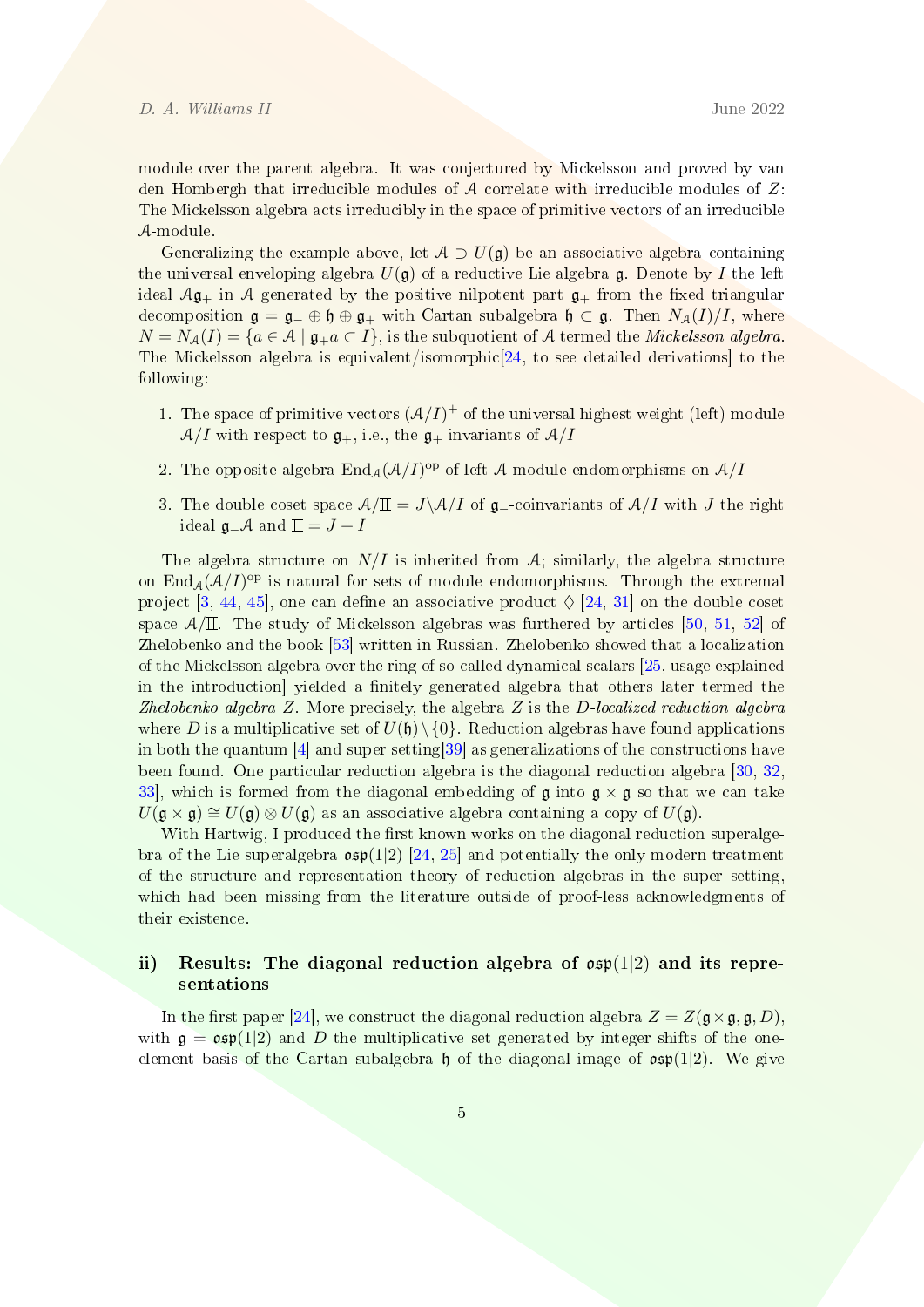module over the parent algebra. It was conjectured by Mickelsson and proved by van den Hombergh that irreducible modules of  $A$  correlate with irreducible modules of  $Z$ : The Mickelsson algebra acts irreducibly in the space of primitive vectors of an irreducible A-module.

Generalizing the example above, let  $A \supset U(\mathfrak{g})$  be an associative algebra containing the universal enveloping algebra  $U(\mathfrak{g})$  of a reductive Lie algebra  $\mathfrak{g}$ . Denote by I the left ideal  $\mathcal{A}\mathfrak{g}_+$  in  $\mathcal A$  generated by the positive nilpotent part  $\mathfrak{g}_+$  from the fixed triangular decomposition  $\mathfrak{g} = \mathfrak{g}_- \oplus \mathfrak{h} \oplus \mathfrak{g}_+$  with Cartan subalgebra  $\mathfrak{h} \subset \mathfrak{g}$ . Then  $N_A(I)/I$ , where  $N = N_A(I) = \{a \in \mathcal{A} \mid \mathfrak{g}_{+}a \subset I\}$ , is the subquotient of A termed the *Mickelsson algebra*. The Mickelsson algebra is equivalent/isomorphic[\[24,](#page-8-6) to see detailed derivations] to the following:

- 1. The space of primitive vectors  $(A/I)^+$  of the universal highest weight (left) module  $A/I$  with respect to  $\mathfrak{g}_+$ , i.e., the  $\mathfrak{g}_+$  invariants of  $A/I$
- 2. The opposite algebra  $\text{End}_{\mathcal{A}}(\mathcal{A}/I)^{\text{op}}$  of left  $\mathcal{A}\text{-module endomorphisms on }\mathcal{A}/I$
- 3. The double coset space  $A/\mathbb{I} = J \ A/I$  of  $\mathfrak{g}_-$ -coinvariants of  $A/I$  with J the right ideal  $\mathfrak{g}$ −A and  $\mathfrak{I} = J + I$

The algebra structure on  $N/I$  is inherited from A; similarly, the algebra structure on  $\text{End}_{\mathcal{A}}(\mathcal{A}/I)^{\text{op}}$  is natural for sets of module endomorphisms. Through the extremal project [\[3,](#page-7-6) [44,](#page-10-8) [45\]](#page-10-9), one can define an associative product  $\Diamond$  [\[24,](#page-8-6) [31\]](#page-9-4) on the double coset space  $A/\Pi$ . The study of Mickelsson algebras was furthered by articles [\[50,](#page-10-10) [51,](#page-10-4) [52\]](#page-10-11) of Zhelobenko and the book [\[53\]](#page-10-12) written in Russian. Zhelobenko showed that a localization of the Mickelsson algebra over the ring of so-called dynamical scalars [\[25,](#page-8-7) usage explained in the introduction] yielded a finitely generated algebra that others later termed the Zhelobenko algebra  $Z$ . More precisely, the algebra  $Z$  is the D-localized reduction algebra where D is a multiplicative set of  $U(\mathfrak{h})\setminus\{0\}$ . Reduction algebras have found applications in both the quantum [\[4\]](#page-7-7) and super setting[\[39\]](#page-9-5) as generalizations of the constructions have been found. One particular reduction algebra is the diagonal reduction algebra [\[30,](#page-9-6) [32,](#page-9-7) 33, which is formed from the diagonal embedding of  $\mathfrak{g}$  into  $\mathfrak{g} \times \mathfrak{g}$  so that we can take  $U(\mathfrak{g} \times \mathfrak{g}) \cong U(\mathfrak{g}) \otimes U(\mathfrak{g})$  as an associative algebra containing a copy of  $U(\mathfrak{g})$ .

With Hartwig, I produced the first known works on the diagonal reduction superalgebra of the Lie superalgebra  $\exp(1|2)$  [\[24,](#page-8-6) [25\]](#page-8-7) and potentially the only modern treatment of the structure and representation theory of reduction algebras in the super setting, which had been missing from the literature outside of proof-less acknowledgments of their existence.

## ii) Results: The diagonal reduction algebra of  $\mathfrak{osp}(1|2)$  and its representations

In the first paper [\[24\]](#page-8-6), we construct the diagonal reduction algebra  $Z = Z(\mathfrak{g} \times \mathfrak{g}, \mathfrak{g}, D)$ , with  $g = \exp(1/2)$  and D the multiplicative set generated by integer shifts of the oneelement basis of the Cartan subalgebra  $\mathfrak h$  of the diagonal image of  $\mathfrak{osp}(1|2)$ . We give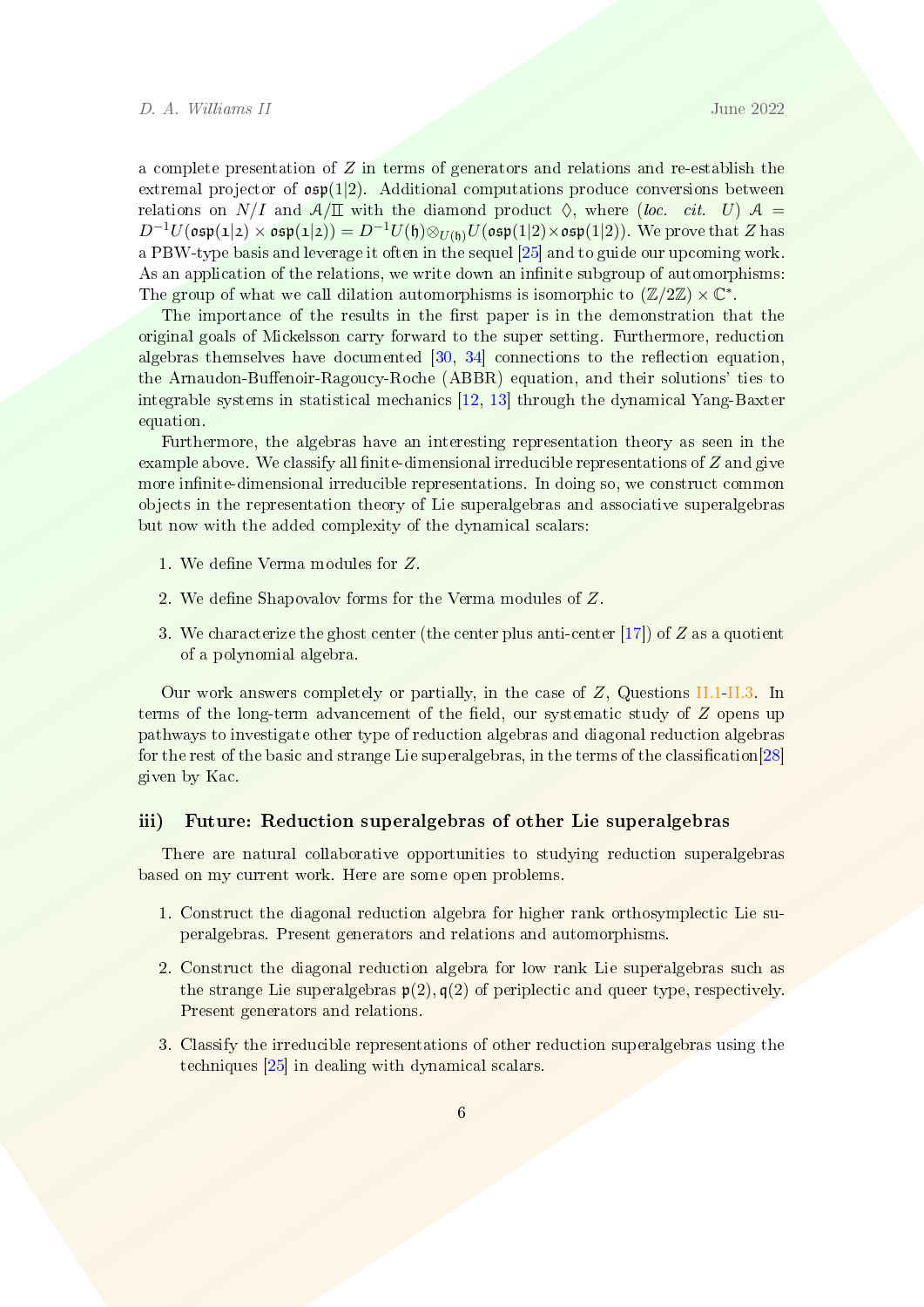a complete presentation of  $Z$  in terms of generators and relations and re-establish the extremal projector of  $\mathfrak{osp}(1|2)$ . Additional computations produce conversions between relations on N/I and  $A/\mathbb{I}$  with the diamond product  $\diamond$ , where (loc. cit. U)  $A =$  $D^{-1}U(\mathfrak{osp}(1|2)\times\mathfrak{osp}(1|2))=D^{-1}U(\mathfrak{h})\otimes_{U(\mathfrak{h})}U(\mathfrak{osp}(1|2)\times\mathfrak{osp}(1|2)).$  We prove that Z has a PBW-type basis and leverage it often in the sequel [\[25\]](#page-8-7) and to guide our upcoming work. As an application of the relations, we write down an infinite subgroup of automorphisms: The group of what we call dilation automorphisms is isomorphic to  $(\mathbb{Z}/2\mathbb{Z}) \times \mathbb{C}^*$ .

The importance of the results in the first paper is in the demonstration that the original goals of Mickelsson carry forward to the super setting. Furthermore, reduction algebras themselves have documented  $[30, 34]$  $[30, 34]$  $[30, 34]$  connections to the reflection equation, the Arnaudon-Buffenoir-Ragoucy-Roche (ABBR) equation, and their solutions' ties to integrable systems in statistical mechanics [\[12,](#page-8-8) [13\]](#page-8-9) through the dynamical Yang-Baxter equation.

Furthermore, the algebras have an interesting representation theory as seen in the example above. We classify all finite-dimensional irreducible representations of  $Z$  and give more infinite-dimensional irreducible representations. In doing so, we construct common objects in the representation theory of Lie superalgebras and associative superalgebras but now with the added complexity of the dynamical scalars:

- 1. We define Verma modules for Z.
- 2. We define Shapovalov forms for the Verma modules of  $Z$ .
- 3. We characterize the ghost center (the center plus anti-center [\[17\]](#page-8-10)) of  $Z$  as a quotient of a polynomial algebra.

Our work answers completely or partially, in the case of  $Z$ , Questions [II.1-](#page-3-0)[II.3.](#page-3-1) In terms of the long-term advancement of the field, our systematic study of  $Z$  opens up pathways to investigate other type of reduction algebras and diagonal reduction algebras for the rest of the basic and strange Lie superalgebras, in the terms of the classification $[28]$ given by Kac.

#### iii) Future: Reduction superalgebras of other Lie superalgebras

There are natural collaborative opportunities to studying reduction superalgebras based on my current work. Here are some open problems.

- 1. Construct the diagonal reduction algebra for higher rank orthosymplectic Lie superalgebras. Present generators and relations and automorphisms.
- 2. Construct the diagonal reduction algebra for low rank Lie superalgebras such as the strange Lie superalgebras  $p(2), q(2)$  of periplectic and queer type, respectively. Present generators and relations.
- 3. Classify the irreducible representations of other reduction superalgebras using the techniques [\[25\]](#page-8-7) in dealing with dynamical scalars.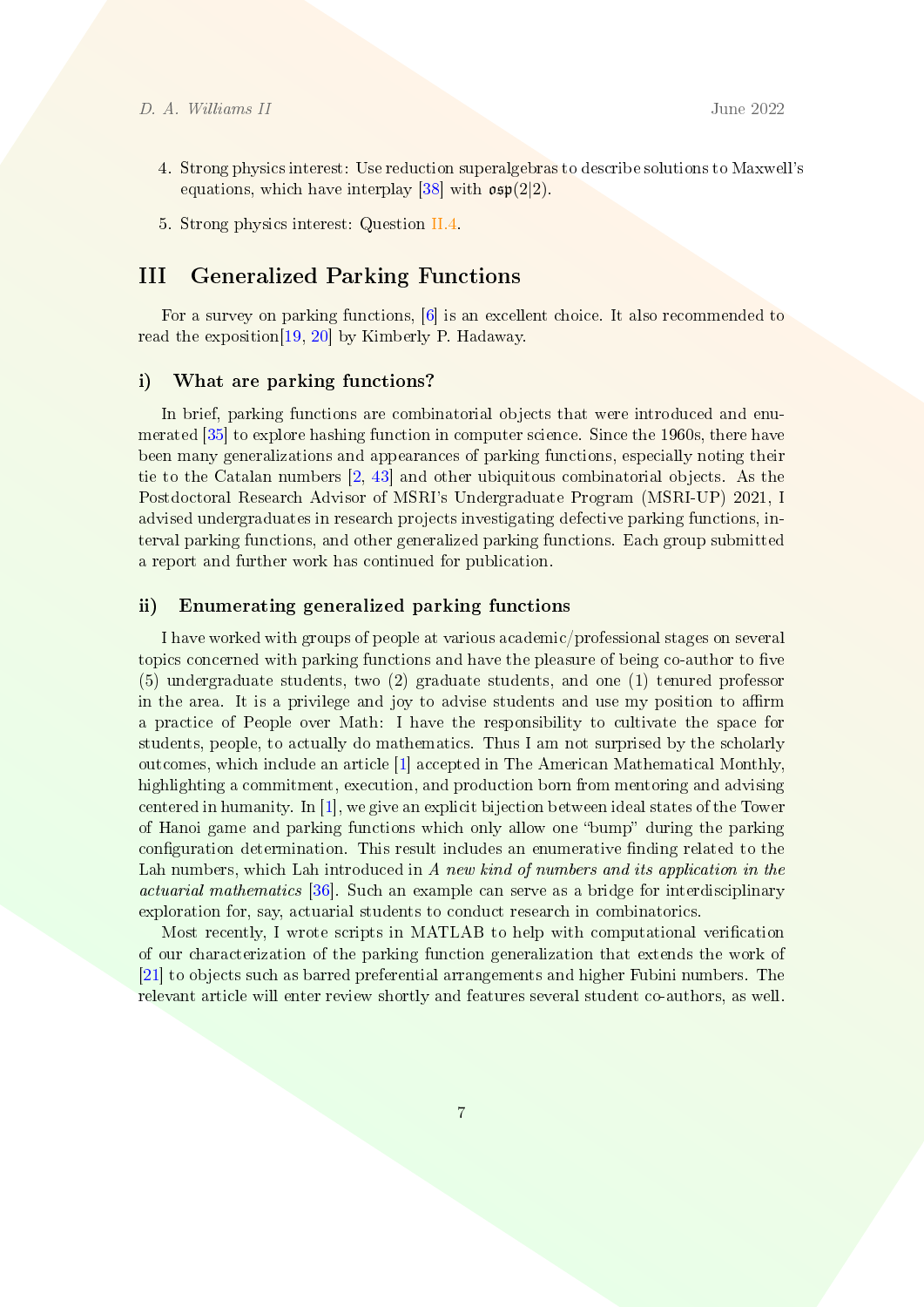- 4. Strong physics interest: Use reduction superalgebras to describe solutions to Maxwell's equations, which have interplay [\[38\]](#page-9-10) with  $\mathfrak{osp}(2|2)$ .
- 5. Strong physics interest: Question [II.4.](#page-3-2)

# <span id="page-6-0"></span>III Generalized Parking Functions

For a survey on parking functions, [\[6\]](#page-7-8) is an excellent choice. It also recommended to read the exposition[\[19,](#page-8-11) [20\]](#page-8-12) by Kimberly P. Hadaway.

### i) What are parking functions?

In brief, parking functions are combinatorial objects that were introduced and enumerated [\[35\]](#page-9-11) to explore hashing function in computer science. Since the 1960s, there have been many generalizations and appearances of parking functions, especially noting their tie to the Catalan numbers [\[2,](#page-7-9) [43\]](#page-10-13) and other ubiquitous combinatorial objects. As the Postdoctoral Research Advisor of MSRI's Undergraduate Program (MSRI-UP) 2021, I advised undergraduates in research projects investigating defective parking functions, interval parking functions, and other generalized parking functions. Each group submitted a report and further work has continued for publication.

## ii) Enumerating generalized parking functions

I have worked with groups of people at various academic/professional stages on several topics concerned with parking functions and have the pleasure of being co-author to five (5) undergraduate students, two (2) graduate students, and one (1) tenured professor in the area. It is a privilege and joy to advise students and use my position to affirm a practice of People over Math: I have the responsibility to cultivate the space for students, people, to actually do mathematics. Thus I am not surprised by the scholarly outcomes, which include an article [\[1\]](#page-7-10) accepted in The American Mathematical Monthly, highlighting a commitment, execution, and production born from mentoring and advising centered in humanity. In [\[1\]](#page-7-10), we give an explicit bijection between ideal states of the Tower of Hanoi game and parking functions which only allow one "bump" during the parking configuration determination. This result includes an enumerative finding related to the Lah numbers, which Lah introduced in A new kind of numbers and its application in the actuarial mathematics [\[36\]](#page-9-12). Such an example can serve as a bridge for interdisciplinary exploration for, say, actuarial students to conduct research in combinatorics.

Most recently, I wrote scripts in MATLAB to help with computational verification of our characterization of the parking function generalization that extends the work of [\[21\]](#page-8-13) to objects such as barred preferential arrangements and higher Fubini numbers. The relevant article will enter review shortly and features several student co-authors, as well.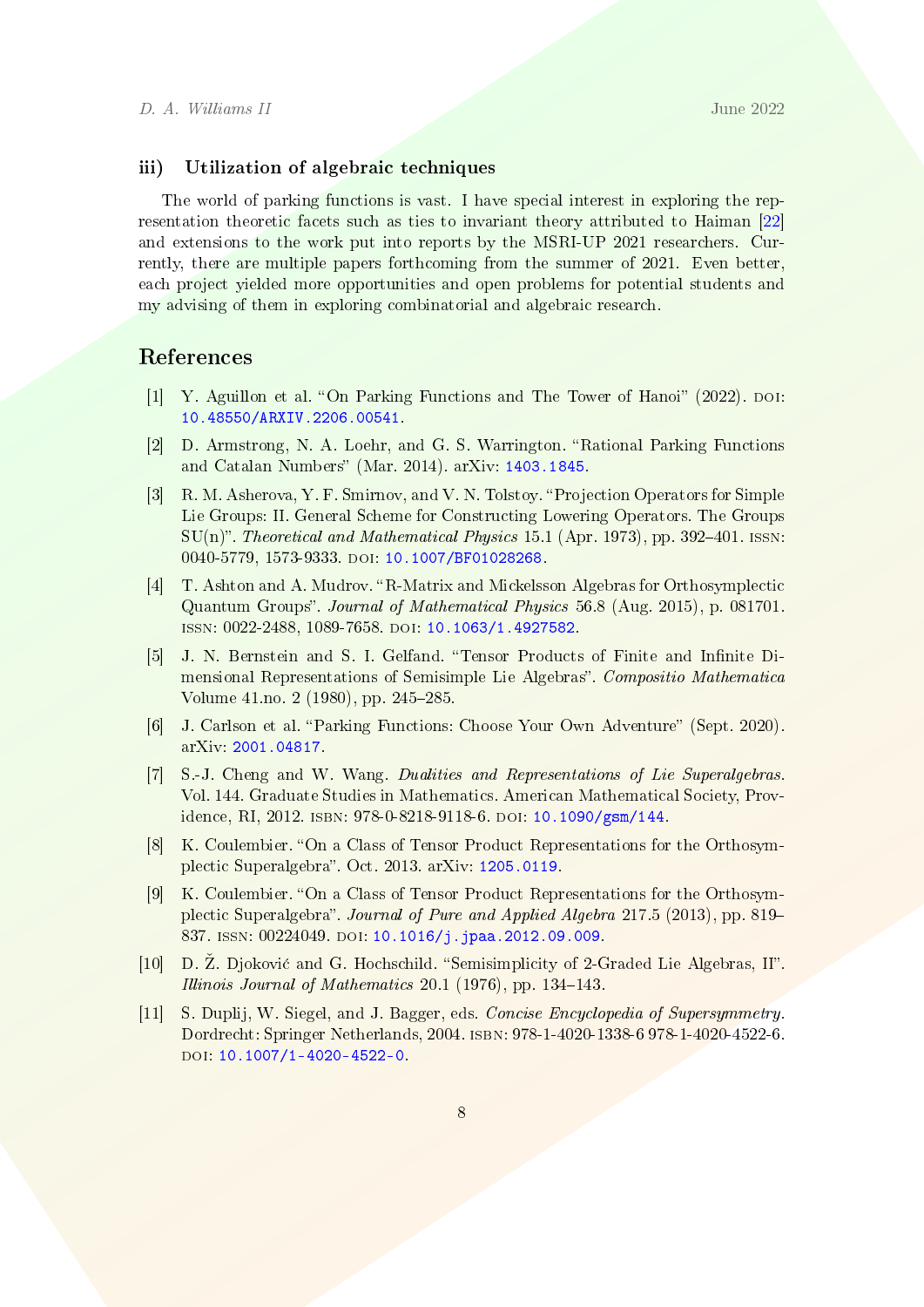## iii) Utilization of algebraic techniques

The world of parking functions is vast. I have special interest in exploring the representation theoretic facets such as ties to invariant theory attributed to Haiman [\[22\]](#page-8-14) and extensions to the work put into reports by the MSRI-UP 2021 researchers. Currently, there are multiple papers forthcoming from the summer of 2021. Even better, each project yielded more opportunities and open problems for potential students and my advising of them in exploring combinatorial and algebraic research.

# References

- <span id="page-7-10"></span>[1] Y. Aguillon et al. "On Parking Functions and The Tower of Hanoi" (2022). DOI: [10.48550/ARXIV.2206.00541.](https://doi.org/10.48550/ARXIV.2206.00541)
- <span id="page-7-9"></span>[2] D. Armstrong, N. A. Loehr, and G. S. Warrington. "Rational Parking Functions and Catalan Numbers" (Mar. 2014). arXiv:  $1403.1845$ .
- <span id="page-7-6"></span>[3] R. M. Asherova, Y. F. Smirnov, and V. N. Tolstoy. Projection Operators for Simple Lie Groups: II. General Scheme for Constructing Lowering Operators. The Groups  $SU(n)$ ". Theoretical and Mathematical Physics 15.1 (Apr. 1973), pp. 392–401. ISSN: 0040-5779, 1573-9333. doi: [10.1007/BF01028268.](https://doi.org/10.1007/BF01028268)
- <span id="page-7-7"></span>[4] T. Ashton and A. Mudrov. "R-Matrix and Mickelsson Algebras for Orthosymplectic Quantum Groups". Journal of Mathematical Physics 56.8 (Aug. 2015), p. 081701. issn: 0022-2488, 1089-7658. doi: [10.1063/1.4927582.](https://doi.org/10.1063/1.4927582)
- <span id="page-7-5"></span>[5] J. N. Bernstein and S. I. Gelfand. "Tensor Products of Finite and Infinite Dimensional Representations of Semisimple Lie Algebras". Compositio Mathematica Volume  $41 \text{ no. } 2 (1980)$ , pp.  $245 - 285$ .
- <span id="page-7-8"></span>[6] J. Carlson et al. "Parking Functions: Choose Your Own Adventure" (Sept. 2020). arXiv: [2001.04817.](https://arxiv.org/abs/2001.04817)
- <span id="page-7-0"></span>[7] S.-J. Cheng and W. Wang. Dualities and Representations of Lie Superalgebras. Vol. 144. Graduate Studies in Mathematics. American Mathematical Society, Providence, RI, 2012. isbn: 978-0-8218-9118-6. doi: [10.1090/gsm/144.](https://doi.org/10.1090/gsm/144)
- <span id="page-7-3"></span>[8] K. Coulembier. "On a Class of Tensor Product Representations for the Orthosym-plectic Superalgebra". Oct. 2013. arXiv: [1205.0119.](https://arxiv.org/abs/1205.0119)
- <span id="page-7-4"></span>[9] K. Coulembier. "On a Class of Tensor Product Representations for the Orthosymplectic Superalgebra". Journal of Pure and Applied Algebra 217.5 (2013), pp. 819– 837. ISSN: 00224049. DOI: [10.1016/j.jpaa.2012.09.009.](https://doi.org/10.1016/j.jpaa.2012.09.009)
- <span id="page-7-2"></span>[10] D.  $\check{Z}$ . Djoković and G. Hochschild. "Semisimplicity of 2-Graded Lie Algebras, II". Illinois Journal of Mathematics  $20.1$  (1976), pp. 134-143.
- <span id="page-7-1"></span>[11] S. Duplij, W. Siegel, and J. Bagger, eds. Concise Encyclopedia of Supersymmetry. Dordrecht: Springer Netherlands, 2004. isbn: 978-1-4020-1338-6 978-1-4020-4522-6. DOI: [10.1007/1-4020-4522-0.](https://doi.org/10.1007/1-4020-4522-0)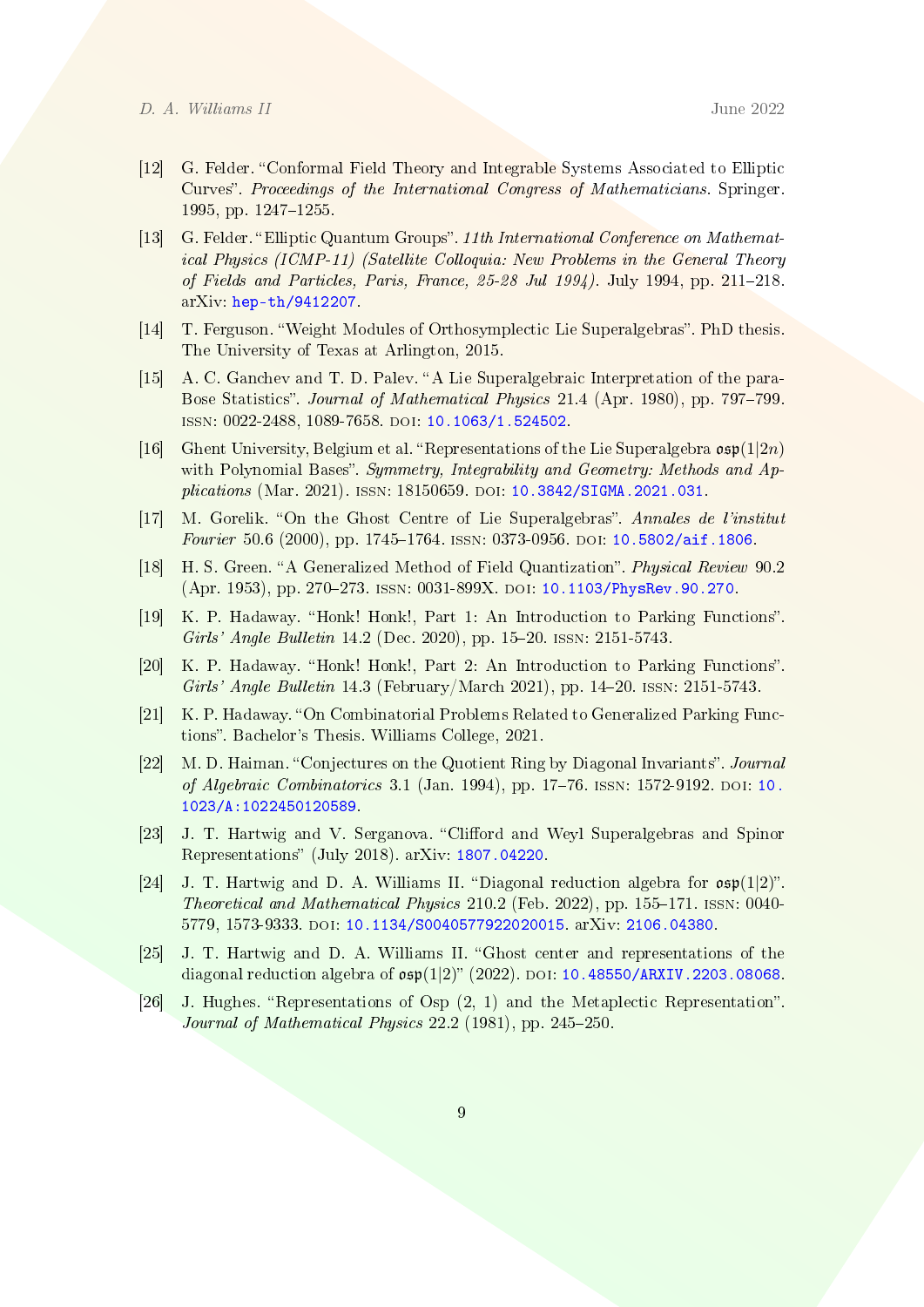- <span id="page-8-8"></span>[12] G. Felder. Conformal Field Theory and Integrable Systems Associated to Elliptic Curves. Proceedings of the International Congress of Mathematicians. Springer. 1995, pp.  $1247-1255$ .
- <span id="page-8-9"></span>[13] G. Felder. "Elliptic Quantum Groups". 11th International Conference on Mathematical Physics (ICMP-11) (Satellite Colloquia: New Problems in the General Theory of Fields and Particles, Paris, France,  $25-28$  Jul  $1994$ ). July 1994, pp.  $211-218$ . arXiv: [hep-th/9412207.](https://arxiv.org/abs/hep-th/9412207)
- <span id="page-8-4"></span>[14] T. Ferguson. "Weight Modules of Orthosymplectic Lie Superalgebras". PhD thesis. The University of Texas at Arlington, 2015.
- <span id="page-8-2"></span>[15] A. C. Ganchev and T. D. Palev. "A Lie Superalgebraic Interpretation of the para-Bose Statistics". Journal of Mathematical Physics 21.4 (Apr. 1980), pp. 797–799. ISSN: 0022-2488, 1089-7658. DOI: [10.1063/1.524502.](https://doi.org/10.1063/1.524502)
- <span id="page-8-3"></span>[16] Ghent University, Belgium et al. "Representations of the Lie Superalgebra  $\mathfrak{osp}(1|2n)$ with Polynomial Bases". Symmetry, Integrability and Geometry: Methods and Ap-plications (Mar. 2021). ISSN: 18150659. DOI: [10.3842/SIGMA.2021.031.](https://doi.org/10.3842/SIGMA.2021.031)
- <span id="page-8-10"></span>[17] M. Gorelik. "On the Ghost Centre of Lie Superalgebras". Annales de l'institut Fourier 50.6 (2000), pp. 1745-1764. ISSN: 0373-0956. DOI: [10.5802/aif.1806.](https://doi.org/10.5802/aif.1806)
- <span id="page-8-1"></span>[18] H. S. Green. "A Generalized Method of Field Quantization". Physical Review 90.2 (Apr. 1953), pp. 270-273. ISSN: 0031-899X. DOI: [10.1103/PhysRev.90.270.](https://doi.org/10.1103/PhysRev.90.270)
- <span id="page-8-11"></span>[19] K. P. Hadaway. "Honk! Honk!, Part 1: An Introduction to Parking Functions". Girls' Angle Bulletin 14.2 (Dec. 2020), pp. 15-20. ISSN: 2151-5743.
- <span id="page-8-12"></span>[20] K. P. Hadaway. "Honk! Honk!, Part 2: An Introduction to Parking Functions". Girls' Angle Bulletin 14.3 (February/March 2021), pp. 14-20. ISSN: 2151-5743.
- <span id="page-8-13"></span>[21] K. P. Hadaway. "On Combinatorial Problems Related to Generalized Parking Functions. Bachelor's Thesis. Williams College, 2021.
- <span id="page-8-14"></span>[22] M. D. Haiman. "Conjectures on the Quotient Ring by Diagonal Invariants". Journal of Algebraic Combinatorics 3.1 (Jan. 1994), pp. 17-76. ISSN: 1572-9192. DOI: [10.](https://doi.org/10.1023/A:1022450120589) [1023/A:1022450120589.](https://doi.org/10.1023/A:1022450120589)
- <span id="page-8-5"></span>[23] J. T. Hartwig and V. Serganova. "Clifford and Weyl Superalgebras and Spinor Representations" (July 2018). arXiv: [1807.04220.](https://arxiv.org/abs/1807.04220)
- <span id="page-8-6"></span>[24] J. T. Hartwig and D. A. Williams II. "Diagonal reduction algebra for  $\mathfrak{osp}(1|2)$ ". Theoretical and Mathematical Physics  $210.2$  (Feb. 2022), pp. 155–171. ISSN: 0040-5779, 1573-9333. doi: [10.1134/S0040577922020015.](https://doi.org/10.1134/S0040577922020015) arXiv: [2106.04380.](https://arxiv.org/abs/2106.04380)
- <span id="page-8-7"></span>[25] J. T. Hartwig and D. A. Williams II. Ghost center and representations of the diagonal reduction algebra of  $\mathfrak{osp}(1|2)$ " (2022). DOI: [10.48550/ARXIV.2203.08068.](https://doi.org/10.48550/ARXIV.2203.08068)
- <span id="page-8-0"></span>[26] J. Hughes. "Representations of Osp  $(2, 1)$  and the Metaplectic Representation". Journal of Mathematical Physics  $22.2$  (1981), pp.  $245-250$ .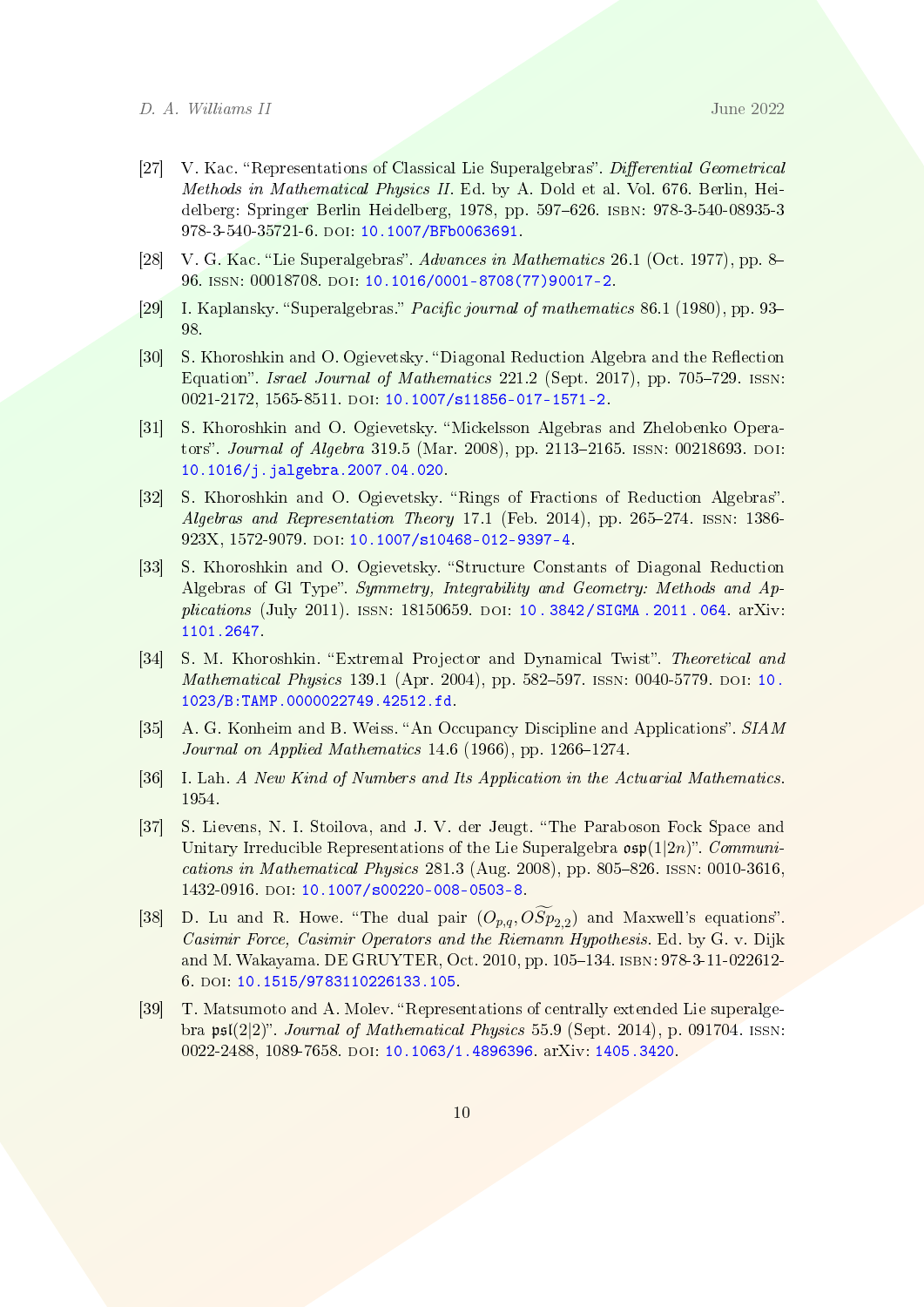- <span id="page-9-2"></span>[27] V. Kac. "Representations of Classical Lie Superalgebras". Differential Geometrical Methods in Mathematical Physics II. Ed. by A. Dold et al. Vol. 676. Berlin, Heidelberg: Springer Berlin Heidelberg, 1978, pp. 597626. isbn: 978-3-540-08935-3 978-3-540-35721-6. doi: [10.1007/BFb0063691.](https://doi.org/10.1007/BFb0063691)
- <span id="page-9-1"></span>[28] V. G. Kac. "Lie Superalgebras". Advances in Mathematics 26.1 (Oct. 1977), pp. 8– 96. issn: 00018708. doi: [10.1016/0001-8708\(77\)90017-2.](https://doi.org/10.1016/0001-8708(77)90017-2)
- <span id="page-9-0"></span>[29] I. Kaplansky. "Superalgebras." *Pacific journal of mathematics* 86.1 (1980), pp. 93– 98.
- <span id="page-9-6"></span>[30] S. Khoroshkin and O. Ogievetsky. "Diagonal Reduction Algebra and the Reflection Equation". Israel Journal of Mathematics  $221.2$  (Sept. 2017), pp. 705–729. ISSN: 0021-2172, 1565-8511. DOI: [10.1007/s11856-017-1571-2.](https://doi.org/10.1007/s11856-017-1571-2)
- <span id="page-9-4"></span>[31] S. Khoroshkin and O. Ogievetsky. "Mickelsson Algebras and Zhelobenko Operators". Journal of Algebra 319.5 (Mar. 2008), pp. 2113-2165. ISSN: 00218693. DOI: [10.1016/j.jalgebra.2007.04.020.](https://doi.org/10.1016/j.jalgebra.2007.04.020)
- <span id="page-9-7"></span>[32] S. Khoroshkin and O. Ogievetsky. "Rings of Fractions of Reduction Algebras". Algebras and Representation Theory 17.1 (Feb. 2014), pp. 265-274. ISSN: 1386-923X, 1572-9079. doi: [10.1007/s10468-012-9397-4.](https://doi.org/10.1007/s10468-012-9397-4)
- <span id="page-9-8"></span>[33] S. Khoroshkin and O. Ogievetsky. "Structure Constants of Diagonal Reduction Algebras of Gl Type". Symmetry, Integrability and Geometry: Methods and Applications (July 2011). issn: 18150659. doi: [10 . 3842 / SIGMA . 2011 . 064.](https://doi.org/10.3842/SIGMA.2011.064) arXiv: [1101.2647.](https://arxiv.org/abs/1101.2647)
- <span id="page-9-9"></span>[34] S. M. Khoroshkin. "Extremal Projector and Dynamical Twist". Theoretical and Mathematical Physics 139.1 (Apr. 2004), pp. 582-597. ISSN: 0040-5779. DOI: [10.](https://doi.org/10.1023/B:TAMP.0000022749.42512.fd) [1023/B:TAMP.0000022749.42512.fd.](https://doi.org/10.1023/B:TAMP.0000022749.42512.fd)
- <span id="page-9-11"></span>[35] A. G. Konheim and B. Weiss. "An Occupancy Discipline and Applications". SIAM Journal on Applied Mathematics  $14.6$  (1966), pp. 1266-1274.
- <span id="page-9-12"></span>[36] I. Lah. A New Kind of Numbers and Its Application in the Actuarial Mathematics. 1954.
- <span id="page-9-3"></span>[37] S. Lievens, N. I. Stoilova, and J. V. der Jeugt. "The Paraboson Fock Space and Unitary Irreducible Representations of the Lie Superalgebra  $\mathfrak{osp}(1|2n)$ ". Communications in Mathematical Physics  $281.3$  (Aug. 2008), pp.  $805-826$ . ISSN: 0010-3616, 1432-0916. doi: [10.1007/s00220-008-0503-8.](https://doi.org/10.1007/s00220-008-0503-8)
- <span id="page-9-10"></span>[38] D. Lu and R. Howe. "The dual pair  $(O_{p,q},OSp_{2,2})$  and Maxwell's equations". Casimir Force, Casimir Operators and the Riemann Hypothesis. Ed. by G. v. Dijk and M. Wakayama. DE GRUYTER, Oct. 2010, pp. 105-134. ISBN: 978-3-11-022612-6. doi: [10.1515/9783110226133.105.](https://doi.org/10.1515/9783110226133.105)
- <span id="page-9-5"></span>[39] T. Matsumoto and A. Molev. "Representations of centrally extended Lie superalgebra  $\mathfrak{psl}(2|2)$ ". Journal of Mathematical Physics 55.9 (Sept. 2014), p. 091704. ISSN: 0022-2488, 1089-7658. doi: [10.1063/1.4896396.](https://doi.org/10.1063/1.4896396) arXiv: [1405.3420.](https://arxiv.org/abs/1405.3420)